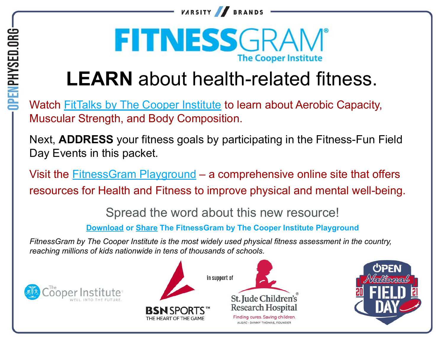



# FITNESSGRAM **The Cooper Instite**

# **LEARN** about health-related fitness.

Watch **[FitTalks by The Cooper Institute](https://youtube.com/playlist?list=PLsSPvLQWZsbsW_O7_KH4PI4GwApfIU2f_)** to learn about Aerobic Capacity, Muscular Strength, and Body Composition.

Next, **ADDRESS** your fitness goals by participating in the Fitness-Fun Field Day Events in this packet.

Visit the **FitnessGram Playground** – a comprehensive online site that offers resources for Health and Fitness to improve physical and mental well-being.

Spread the word about this new resource!

**[Download or Share The FitnessGram by The Cooper Institute Playground](https://fitnessgram.net/wp-content/uploads/2021/02/FitnessGram-Playground-by-The-Cooper-Institute1.pdf)**

*FitnessGram by The Cooper Institute is the most widely used physical fitness assessment in the country, reaching millions of kids nationwide in tens of thousands of schools.*







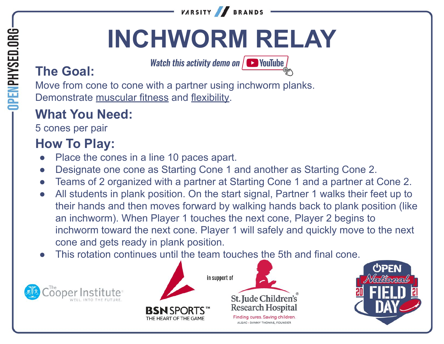

# **INCHWORM RELAY**

**Watch this activity demo on**  $\sqrt{ }$  YouTube

# **The Goal:**

**DPENPHYSED.ORG** 

Move from cone to cone with a partner using inchworm planks. Demonstrate muscular fitness and flexibility.

### **What You Need:**

5 cones per pair

- Place the cones in a line 10 paces apart.
- Designate one cone as Starting Cone 1 and another as Starting Cone 2.
- Teams of 2 organized with a partner at Starting Cone 1 and a partner at Cone 2.
- All students in plank position. On the start signal, Partner 1 walks their feet up to their hands and then moves forward by walking hands back to plank position (like an inchworm). When Player 1 touches the next cone, Player 2 begins to inchworm toward the next cone. Player 1 will safely and quickly move to the next cone and gets ready in plank position.
- This rotation continues until the team touches the 5th and final cone.







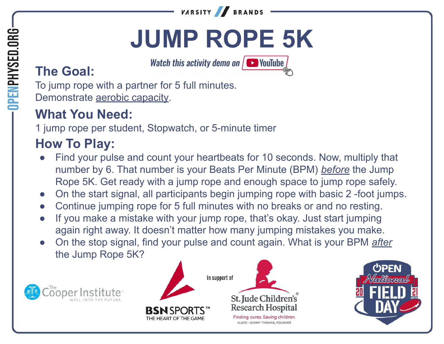

# **JUMP ROPE 5K**

**Watch this activity demo on**  $\sqrt{ }$  YouTube

# **The Goal:**

**DPENPHYSED.ORG** 

To jump rope with a partner for 5 full minutes. Demonstrate aerobic capacity.

### **What You Need:**

1 jump rope per student, Stopwatch, or 5-minute timer

- Find your pulse and count your heartbeats for 10 seconds. Now, multiply that number by 6. That number is your Beats Per Minute (BPM) *before* the Jump Rope 5K. Get ready with a jump rope and enough space to jump rope safely.
- On the start signal, all participants begin jumping rope with basic 2 -foot jumps.
- Continue jumping rope for 5 full minutes with no breaks or and no resting.
- If you make a mistake with your jump rope, that's okay. Just start jumping again right away. It doesn't matter how many jumping mistakes you make.
- On the stop signal, find your pulse and count again. What is your BPM *after* the Jump Rope 5K?







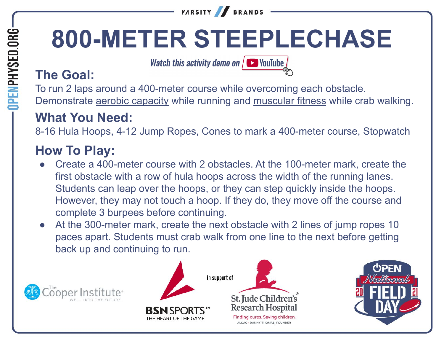# **800-METER STEEPLECHASE**

**BRANDS** 

**Watch this activity demo on**  $\sqrt{ }$  **YouTube** 

**VARSITY** 

#### **The Goal:**

To run 2 laps around a 400-meter course while overcoming each obstacle. Demonstrate aerobic capacity while running and muscular fitness while crab walking.

#### **What You Need:**

8-16 Hula Hoops, 4-12 Jump Ropes, Cones to mark a 400-meter course, Stopwatch

- Create a 400-meter course with 2 obstacles. At the 100-meter mark, create the first obstacle with a row of hula hoops across the width of the running lanes. Students can leap over the hoops, or they can step quickly inside the hoops. However, they may not touch a hoop. If they do, they move off the course and complete 3 burpees before continuing.
- At the 300-meter mark, create the next obstacle with 2 lines of jump ropes 10 paces apart. Students must crab walk from one line to the next before getting back up and continuing to run.